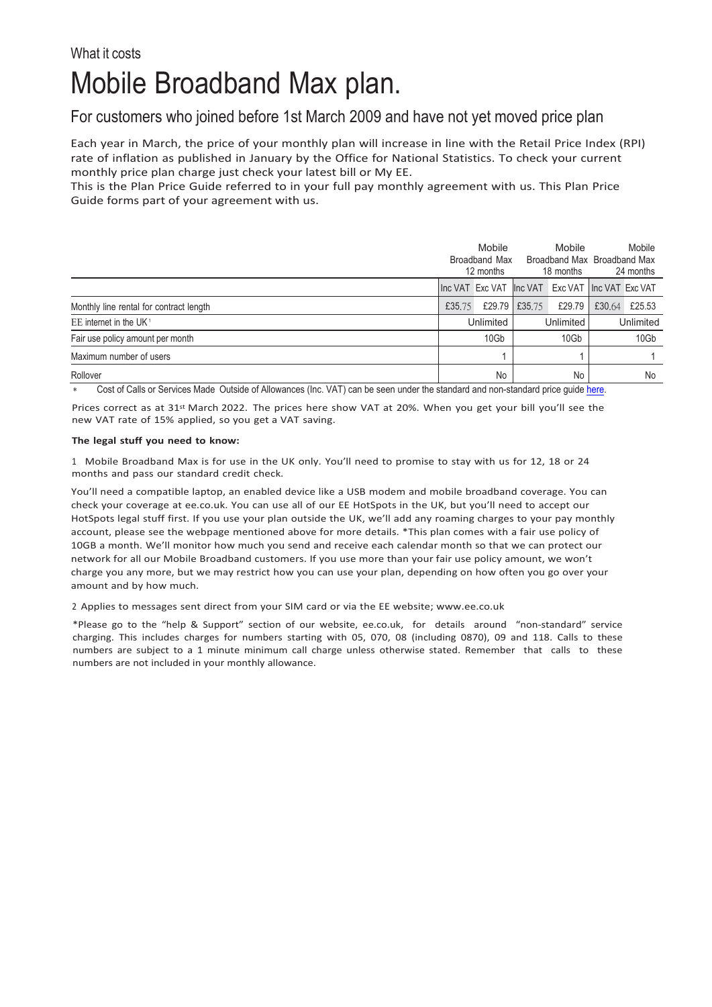## Mobile Broadband Max plan.

## For customers who joined before 1st March 2009 and have not yet moved price plan

Each year in March, the price of your monthly plan will increase in line with the Retail Price Index (RPI) rate of inflation as published in January by the Office for National Statistics. To check your current monthly price plan charge just check your latest bill or My EE.

This is the Plan Price Guide referred to in your full pay monthly agreement with us. This Plan Price Guide forms part of your agreement with us.

|                                         | Mobile<br>Broadband Max<br>12 months |  | Mobile<br>18 months |                                                 | Mobile<br>Broadband Max Broadband Max<br>24 months |        |
|-----------------------------------------|--------------------------------------|--|---------------------|-------------------------------------------------|----------------------------------------------------|--------|
|                                         |                                      |  |                     | Inc VAT Exc VAT Inc VAT Exc VAT Inc VAT Exc VAT |                                                    |        |
| Monthly line rental for contract length | £35,75                               |  | £29.79 £35.75       | £29.79                                          | £30.64                                             | £25.53 |
| EE internet in the UK <sup>1</sup>      | Unlimited                            |  | Unlimited           |                                                 | Unlimited                                          |        |
| Fair use policy amount per month        | 10Gb                                 |  | 10Gb                |                                                 | 10Gb                                               |        |
| Maximum number of users                 |                                      |  |                     |                                                 |                                                    |        |
| Rollover                                | No                                   |  | No                  |                                                 | No                                                 |        |

Cost of Calls or Services Made Outside of Allowances (Inc. VAT) can be seen under the standard and non-standard price guid[e here.](https://ee.co.uk/help/help-new/price-plans/legacy-brand/pay-monthly-price-plans)

Prices correct as at 31<sup>st</sup> March 2022. The prices here show VAT at 20%. When you get your bill you'll see the new VAT rate of 15% applied, so you get a VAT saving.

## **The legal stuff you need to know:**

1 Mobile Broadband Max is for use in the UK only. You'll need to promise to stay with us for 12, 18 or 24 months and pass our standard credit check.

You'll need a compatible laptop, an enabled device like a USB modem and mobile broadband coverage. You can check your coverage at ee.co.uk. You can use all of our EE HotSpots in the UK, but you'll need to accept our HotSpots legal stuff first. If you use your plan outside the UK, we'll add any roaming charges to your pay monthly account, please see the webpage mentioned above for more details. \*This plan comes with a fair use policy of 10GB a month. We'll monitor how much you send and receive each calendar month so that we can protect our network for all our Mobile Broadband customers. If you use more than your fair use policy amount, we won't charge you any more, but we may restrict how you can use your plan, depending on how often you go over your amount and by how much.

2 Applies to messages sent direct from your SIM card or via the EE website; [www.ee.co.uk](http://www.ee.co.uk/)

\*Please go to the "help & Support" section of our website, ee.co.uk, for details around "non-standard" service charging. This includes charges for numbers starting with 05, 070, 08 (including 0870), 09 and 118. Calls to these numbers are subject to a 1 minute minimum call charge unless otherwise stated. Remember that calls to these numbers are not included in your monthly allowance.